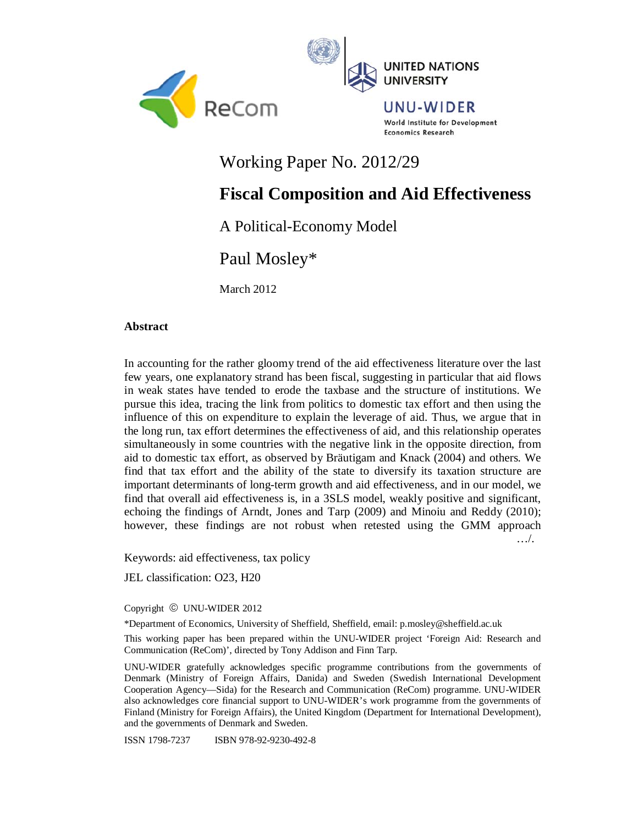



UNU-WIDER World Institute for Development **Economics Research** 

Working Paper No. 2012/29

# **Fiscal Composition and Aid Effectiveness**

A Political-Economy Model

Paul Mosley\*

March 2012

# **Abstract**

In accounting for the rather gloomy trend of the aid effectiveness literature over the last few years, one explanatory strand has been fiscal, suggesting in particular that aid flows in weak states have tended to erode the taxbase and the structure of institutions. We pursue this idea, tracing the link from politics to domestic tax effort and then using the influence of this on expenditure to explain the leverage of aid. Thus, we argue that in the long run, tax effort determines the effectiveness of aid, and this relationship operates simultaneously in some countries with the negative link in the opposite direction, from aid to domestic tax effort, as observed by Bräutigam and Knack (2004) and others. We find that tax effort and the ability of the state to diversify its taxation structure are important determinants of long-term growth and aid effectiveness, and in our model, we find that overall aid effectiveness is, in a 3SLS model, weakly positive and significant, echoing the findings of Arndt, Jones and Tarp (2009) and Minoiu and Reddy (2010); however, these findings are not robust when retested using the GMM approach …/.

Keywords: aid effectiveness, tax policy

JEL classification: O23, H20

Copyright © UNU-WIDER 2012

\*Department of Economics, University of Sheffield, Sheffield, email: p.mosley@sheffield.ac.uk

This working paper has been prepared within the UNU-WIDER project 'Foreign Aid: Research and Communication (ReCom)', directed by Tony Addison and Finn Tarp.

UNU-WIDER gratefully acknowledges specific programme contributions from the governments of Denmark (Ministry of Foreign Affairs, Danida) and Sweden (Swedish International Development Cooperation Agency—Sida) for the Research and Communication (ReCom) programme. UNU-WIDER also acknowledges core financial support to UNU-WIDER's work programme from the governments of Finland (Ministry for Foreign Affairs), the United Kingdom (Department for International Development), and the governments of Denmark and Sweden.

ISSN 1798-7237 ISBN 978-92-9230-492-8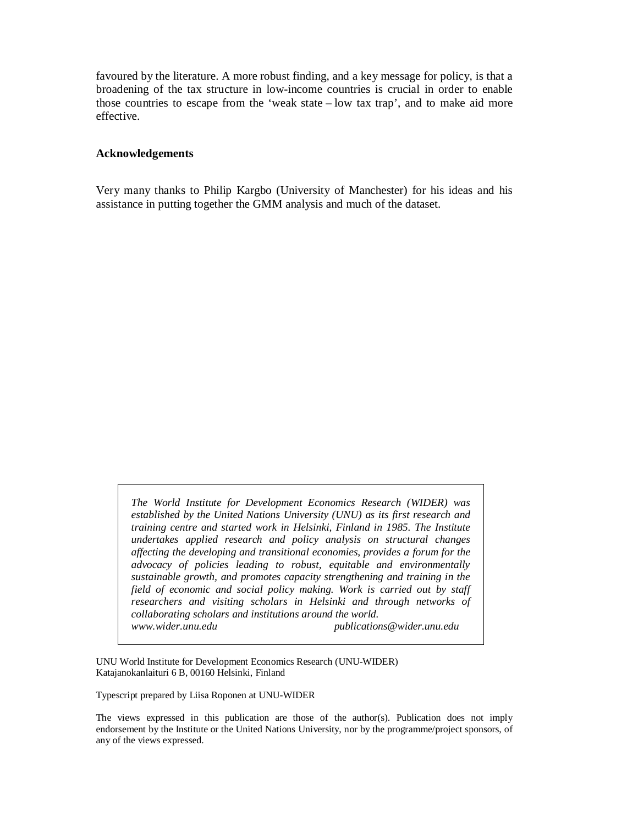favoured by the literature. A more robust finding, and a key message for policy, is that a broadening of the tax structure in low-income countries is crucial in order to enable those countries to escape from the 'weak state – low tax trap', and to make aid more effective.

## **Acknowledgements**

Very many thanks to Philip Kargbo (University of Manchester) for his ideas and his assistance in putting together the GMM analysis and much of the dataset.

*The World Institute for Development Economics Research (WIDER) was established by the United Nations University (UNU) as its first research and training centre and started work in Helsinki, Finland in 1985. The Institute undertakes applied research and policy analysis on structural changes affecting the developing and transitional economies, provides a forum for the advocacy of policies leading to robust, equitable and environmentally sustainable growth, and promotes capacity strengthening and training in the field of economic and social policy making. Work is carried out by staff researchers and visiting scholars in Helsinki and through networks of collaborating scholars and institutions around the world. www.wider.unu.edu publications@wider.unu.edu* 

UNU World Institute for Development Economics Research (UNU-WIDER) Katajanokanlaituri 6 B, 00160 Helsinki, Finland

Typescript prepared by Liisa Roponen at UNU-WIDER

The views expressed in this publication are those of the author(s). Publication does not imply endorsement by the Institute or the United Nations University, nor by the programme/project sponsors, of any of the views expressed.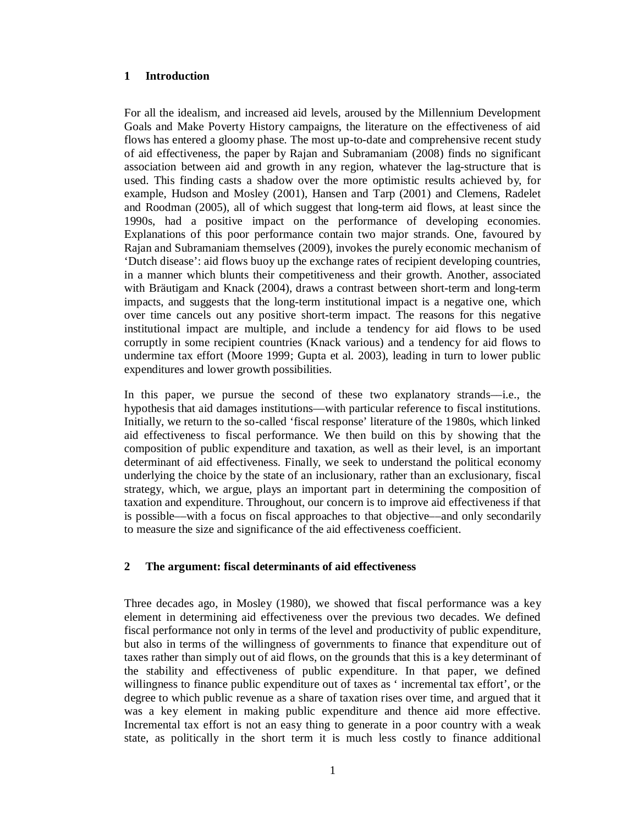# **1 Introduction**

For all the idealism, and increased aid levels, aroused by the Millennium Development Goals and Make Poverty History campaigns, the literature on the effectiveness of aid flows has entered a gloomy phase. The most up-to-date and comprehensive recent study of aid effectiveness, the paper by Rajan and Subramaniam (2008) finds no significant association between aid and growth in any region, whatever the lag-structure that is used. This finding casts a shadow over the more optimistic results achieved by, for example, Hudson and Mosley (2001), Hansen and Tarp (2001) and Clemens, Radelet and Roodman (2005), all of which suggest that long-term aid flows, at least since the 1990s, had a positive impact on the performance of developing economies. Explanations of this poor performance contain two major strands. One, favoured by Rajan and Subramaniam themselves (2009), invokes the purely economic mechanism of 'Dutch disease': aid flows buoy up the exchange rates of recipient developing countries, in a manner which blunts their competitiveness and their growth. Another, associated with Bräutigam and Knack (2004), draws a contrast between short-term and long-term impacts, and suggests that the long-term institutional impact is a negative one, which over time cancels out any positive short-term impact. The reasons for this negative institutional impact are multiple, and include a tendency for aid flows to be used corruptly in some recipient countries (Knack various) and a tendency for aid flows to undermine tax effort (Moore 1999; Gupta et al. 2003), leading in turn to lower public expenditures and lower growth possibilities.

In this paper, we pursue the second of these two explanatory strands—i.e., the hypothesis that aid damages institutions––with particular reference to fiscal institutions. Initially, we return to the so-called 'fiscal response' literature of the 1980s, which linked aid effectiveness to fiscal performance. We then build on this by showing that the composition of public expenditure and taxation, as well as their level, is an important determinant of aid effectiveness. Finally, we seek to understand the political economy underlying the choice by the state of an inclusionary, rather than an exclusionary, fiscal strategy, which, we argue, plays an important part in determining the composition of taxation and expenditure. Throughout, our concern is to improve aid effectiveness if that is possible––with a focus on fiscal approaches to that objective––and only secondarily to measure the size and significance of the aid effectiveness coefficient.

# **2 The argument: fiscal determinants of aid effectiveness**

Three decades ago, in Mosley (1980), we showed that fiscal performance was a key element in determining aid effectiveness over the previous two decades. We defined fiscal performance not only in terms of the level and productivity of public expenditure, but also in terms of the willingness of governments to finance that expenditure out of taxes rather than simply out of aid flows, on the grounds that this is a key determinant of the stability and effectiveness of public expenditure. In that paper, we defined willingness to finance public expenditure out of taxes as ' incremental tax effort', or the degree to which public revenue as a share of taxation rises over time, and argued that it was a key element in making public expenditure and thence aid more effective. Incremental tax effort is not an easy thing to generate in a poor country with a weak state, as politically in the short term it is much less costly to finance additional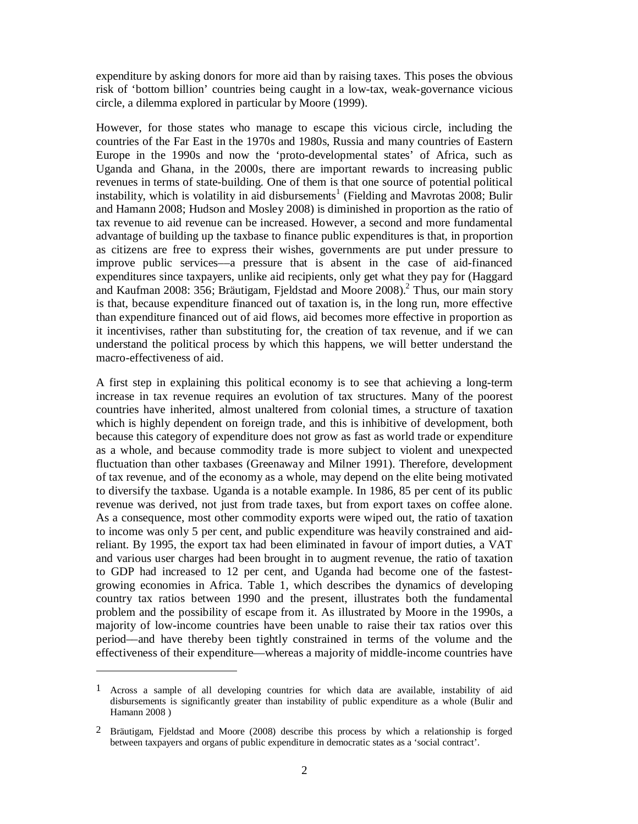expenditure by asking donors for more aid than by raising taxes. This poses the obvious risk of 'bottom billion' countries being caught in a low-tax, weak-governance vicious circle, a dilemma explored in particular by Moore (1999).

However, for those states who manage to escape this vicious circle, including the countries of the Far East in the 1970s and 1980s, Russia and many countries of Eastern Europe in the 1990s and now the 'proto-developmental states' of Africa, such as Uganda and Ghana, in the 2000s, there are important rewards to increasing public revenues in terms of state-building. One of them is that one source of potential political instability, which is volatility in aid disbursements<sup>1</sup> (Fielding and Mavrotas 2008; Bulir and Hamann 2008; Hudson and Mosley 2008) is diminished in proportion as the ratio of tax revenue to aid revenue can be increased. However, a second and more fundamental advantage of building up the taxbase to finance public expenditures is that, in proportion as citizens are free to express their wishes, governments are put under pressure to improve public services––a pressure that is absent in the case of aid-financed expenditures since taxpayers, unlike aid recipients, only get what they pay for (Haggard and Kaufman 2008: 356; Bräutigam, Fjeldstad and Moore 2008).2 Thus, our main story is that, because expenditure financed out of taxation is, in the long run, more effective than expenditure financed out of aid flows, aid becomes more effective in proportion as it incentivises, rather than substituting for, the creation of tax revenue, and if we can understand the political process by which this happens, we will better understand the macro-effectiveness of aid.

A first step in explaining this political economy is to see that achieving a long-term increase in tax revenue requires an evolution of tax structures. Many of the poorest countries have inherited, almost unaltered from colonial times, a structure of taxation which is highly dependent on foreign trade, and this is inhibitive of development, both because this category of expenditure does not grow as fast as world trade or expenditure as a whole, and because commodity trade is more subject to violent and unexpected fluctuation than other taxbases (Greenaway and Milner 1991). Therefore, development of tax revenue, and of the economy as a whole, may depend on the elite being motivated to diversify the taxbase. Uganda is a notable example. In 1986, 85 per cent of its public revenue was derived, not just from trade taxes, but from export taxes on coffee alone. As a consequence, most other commodity exports were wiped out, the ratio of taxation to income was only 5 per cent, and public expenditure was heavily constrained and aidreliant. By 1995, the export tax had been eliminated in favour of import duties, a VAT and various user charges had been brought in to augment revenue, the ratio of taxation to GDP had increased to 12 per cent, and Uganda had become one of the fastestgrowing economies in Africa. Table 1, which describes the dynamics of developing country tax ratios between 1990 and the present, illustrates both the fundamental problem and the possibility of escape from it. As illustrated by Moore in the 1990s, a majority of low-income countries have been unable to raise their tax ratios over this period––and have thereby been tightly constrained in terms of the volume and the effectiveness of their expenditure––whereas a majority of middle-income countries have

-

<sup>1</sup> Across a sample of all developing countries for which data are available, instability of aid disbursements is significantly greater than instability of public expenditure as a whole (Bulir and Hamann 2008 )

<sup>2</sup> Bräutigam, Fjeldstad and Moore (2008) describe this process by which a relationship is forged between taxpayers and organs of public expenditure in democratic states as a 'social contract'.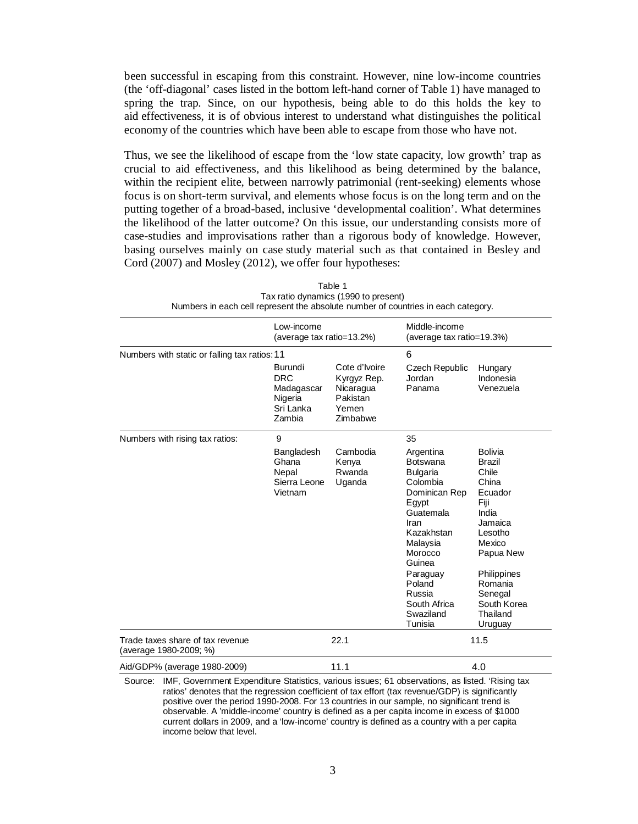been successful in escaping from this constraint. However, nine low-income countries (the 'off-diagonal' cases listed in the bottom left-hand corner of Table 1) have managed to spring the trap. Since, on our hypothesis, being able to do this holds the key to aid effectiveness, it is of obvious interest to understand what distinguishes the political economy of the countries which have been able to escape from those who have not.

Thus, we see the likelihood of escape from the 'low state capacity, low growth' trap as crucial to aid effectiveness, and this likelihood as being determined by the balance, within the recipient elite, between narrowly patrimonial (rent-seeking) elements whose focus is on short-term survival, and elements whose focus is on the long term and on the putting together of a broad-based, inclusive 'developmental coalition'. What determines the likelihood of the latter outcome? On this issue, our understanding consists more of case-studies and improvisations rather than a rigorous body of knowledge. However, basing ourselves mainly on case study material such as that contained in Besley and Cord (2007) and Mosley (2012), we offer four hypotheses:

|                                                                                                                                                                                                                | Low-income<br>(average tax ratio=13.2%)                 |                                            | Middle-income<br>(average tax ratio=19.3%)                                                                                                                                                                                        |                                                                                                                                                                                                |  |  |
|----------------------------------------------------------------------------------------------------------------------------------------------------------------------------------------------------------------|---------------------------------------------------------|--------------------------------------------|-----------------------------------------------------------------------------------------------------------------------------------------------------------------------------------------------------------------------------------|------------------------------------------------------------------------------------------------------------------------------------------------------------------------------------------------|--|--|
| Numbers with static or falling tax ratios: 11                                                                                                                                                                  | Burundi<br><b>DRC</b>                                   | Cote d'Ivoire<br>Kyrgyz Rep.               | 6<br><b>Czech Republic</b><br>Jordan                                                                                                                                                                                              | Hungary<br>Indonesia                                                                                                                                                                           |  |  |
|                                                                                                                                                                                                                | Madagascar<br>Nigeria<br>Sri Lanka<br>Zambia            | Nicaragua<br>Pakistan<br>Yemen<br>Zimbabwe | Panama                                                                                                                                                                                                                            | Venezuela                                                                                                                                                                                      |  |  |
| Numbers with rising tax ratios:                                                                                                                                                                                | 9                                                       |                                            | 35                                                                                                                                                                                                                                |                                                                                                                                                                                                |  |  |
|                                                                                                                                                                                                                | Bangladesh<br>Ghana<br>Nepal<br>Sierra Leone<br>Vietnam | Cambodia<br>Kenya<br>Rwanda<br>Uganda      | Argentina<br><b>Botswana</b><br><b>Bulgaria</b><br>Colombia<br>Dominican Rep<br>Egypt<br>Guatemala<br>Iran<br>Kazakhstan<br>Malaysia<br>Morocco<br>Guinea<br>Paraguay<br>Poland<br>Russia<br>South Africa<br>Swaziland<br>Tunisia | <b>Bolivia</b><br>Brazil<br>Chile<br>China<br>Ecuador<br>Fiji<br>India<br>Jamaica<br>Lesotho<br>Mexico<br>Papua New<br>Philippines<br>Romania<br>Senegal<br>South Korea<br>Thailand<br>Uruguay |  |  |
| Trade taxes share of tax revenue<br>(average 1980-2009; %)                                                                                                                                                     |                                                         | 22.1                                       |                                                                                                                                                                                                                                   | 11.5                                                                                                                                                                                           |  |  |
| Aid/GDP% (average 1980-2009)                                                                                                                                                                                   |                                                         | 11.1                                       |                                                                                                                                                                                                                                   | 4.0                                                                                                                                                                                            |  |  |
| IMF, Government Expenditure Statistics, various issues; 61 observations, as listed. 'Rising tax<br>Source:<br>ratios' denotes that the regression coefficient of tay effort (tay revenue/GDP) is significantly |                                                         |                                            |                                                                                                                                                                                                                                   |                                                                                                                                                                                                |  |  |

Table 1 Tax ratio dynamics (1990 to present) Numbers in each cell represent the absolute number of countries in each category.

ratios' denotes that the regression coefficient of tax effort (tax revenue/GDP) is significantly positive over the period 1990-2008. For 13 countries in our sample, no significant trend is observable. A 'middle-income' country is defined as a per capita income in excess of \$1000 current dollars in 2009, and a 'low-income' country is defined as a country with a per capita income below that level.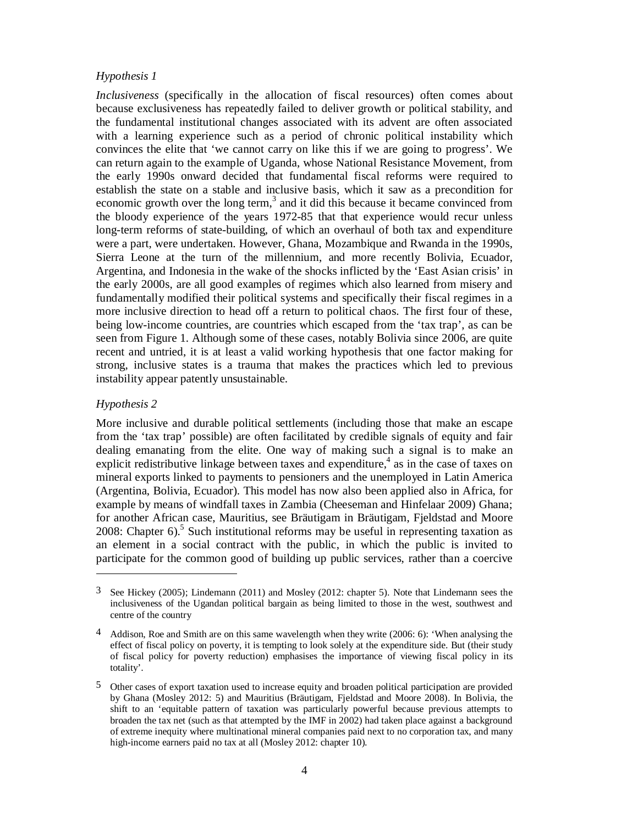# *Hypothesis 1*

*Inclusiveness* (specifically in the allocation of fiscal resources) often comes about because exclusiveness has repeatedly failed to deliver growth or political stability, and the fundamental institutional changes associated with its advent are often associated with a learning experience such as a period of chronic political instability which convinces the elite that 'we cannot carry on like this if we are going to progress'. We can return again to the example of Uganda, whose National Resistance Movement, from the early 1990s onward decided that fundamental fiscal reforms were required to establish the state on a stable and inclusive basis, which it saw as a precondition for economic growth over the long term,<sup>3</sup> and it did this because it became convinced from the bloody experience of the years 1972-85 that that experience would recur unless long-term reforms of state-building, of which an overhaul of both tax and expenditure were a part, were undertaken. However, Ghana, Mozambique and Rwanda in the 1990s, Sierra Leone at the turn of the millennium, and more recently Bolivia, Ecuador, Argentina, and Indonesia in the wake of the shocks inflicted by the 'East Asian crisis' in the early 2000s, are all good examples of regimes which also learned from misery and fundamentally modified their political systems and specifically their fiscal regimes in a more inclusive direction to head off a return to political chaos. The first four of these, being low-income countries, are countries which escaped from the 'tax trap', as can be seen from Figure 1. Although some of these cases, notably Bolivia since 2006, are quite recent and untried, it is at least a valid working hypothesis that one factor making for strong, inclusive states is a trauma that makes the practices which led to previous instability appear patently unsustainable.

## *Hypothesis 2*

 $\overline{a}$ 

More inclusive and durable political settlements (including those that make an escape from the 'tax trap' possible) are often facilitated by credible signals of equity and fair dealing emanating from the elite. One way of making such a signal is to make an explicit redistributive linkage between taxes and expenditure, $4$  as in the case of taxes on mineral exports linked to payments to pensioners and the unemployed in Latin America (Argentina, Bolivia, Ecuador). This model has now also been applied also in Africa, for example by means of windfall taxes in Zambia (Cheeseman and Hinfelaar 2009) Ghana; for another African case, Mauritius, see Bräutigam in Bräutigam, Fjeldstad and Moore 2008: Chapter  $6$ ).<sup>5</sup> Such institutional reforms may be useful in representing taxation as an element in a social contract with the public, in which the public is invited to participate for the common good of building up public services, rather than a coercive

<sup>3</sup> See Hickey (2005); Lindemann (2011) and Mosley (2012: chapter 5). Note that Lindemann sees the inclusiveness of the Ugandan political bargain as being limited to those in the west, southwest and centre of the country

<sup>4</sup> Addison, Roe and Smith are on this same wavelength when they write (2006: 6): 'When analysing the effect of fiscal policy on poverty, it is tempting to look solely at the expenditure side. But (their study of fiscal policy for poverty reduction) emphasises the importance of viewing fiscal policy in its totality'.

<sup>5</sup> Other cases of export taxation used to increase equity and broaden political participation are provided by Ghana (Mosley 2012: 5) and Mauritius (Bräutigam, Fjeldstad and Moore 2008). In Bolivia, the shift to an 'equitable pattern of taxation was particularly powerful because previous attempts to broaden the tax net (such as that attempted by the IMF in 2002) had taken place against a background of extreme inequity where multinational mineral companies paid next to no corporation tax, and many high-income earners paid no tax at all (Mosley 2012: chapter 10).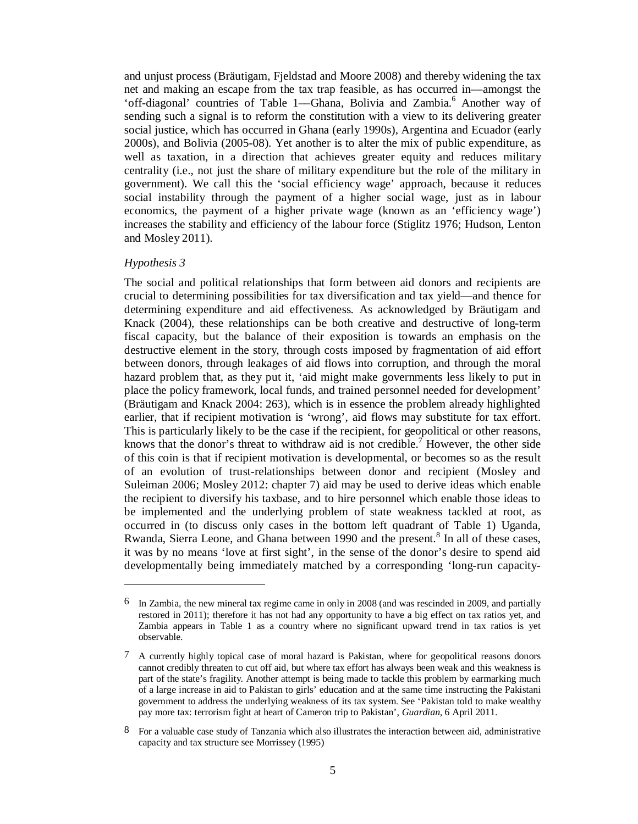and unjust process (Bräutigam, Fjeldstad and Moore 2008) and thereby widening the tax net and making an escape from the tax trap feasible, as has occurred in––amongst the 'off-diagonal' countries of Table 1—Ghana, Bolivia and Zambia.<sup>6</sup> Another way of sending such a signal is to reform the constitution with a view to its delivering greater social justice, which has occurred in Ghana (early 1990s), Argentina and Ecuador (early 2000s), and Bolivia (2005-08). Yet another is to alter the mix of public expenditure, as well as taxation, in a direction that achieves greater equity and reduces military centrality (i.e., not just the share of military expenditure but the role of the military in government). We call this the 'social efficiency wage' approach, because it reduces social instability through the payment of a higher social wage, just as in labour economics, the payment of a higher private wage (known as an 'efficiency wage') increases the stability and efficiency of the labour force (Stiglitz 1976; Hudson, Lenton and Mosley 2011).

### *Hypothesis 3*

 $\overline{\phantom{a}}$ 

The social and political relationships that form between aid donors and recipients are crucial to determining possibilities for tax diversification and tax yield––and thence for determining expenditure and aid effectiveness. As acknowledged by Bräutigam and Knack (2004), these relationships can be both creative and destructive of long-term fiscal capacity, but the balance of their exposition is towards an emphasis on the destructive element in the story, through costs imposed by fragmentation of aid effort between donors, through leakages of aid flows into corruption, and through the moral hazard problem that, as they put it, 'aid might make governments less likely to put in place the policy framework, local funds, and trained personnel needed for development' (Bräutigam and Knack 2004: 263), which is in essence the problem already highlighted earlier, that if recipient motivation is 'wrong', aid flows may substitute for tax effort. This is particularly likely to be the case if the recipient, for geopolitical or other reasons, knows that the donor's threat to withdraw aid is not credible.<sup> $\tau$ </sup> However, the other side of this coin is that if recipient motivation is developmental, or becomes so as the result of an evolution of trust-relationships between donor and recipient (Mosley and Suleiman 2006; Mosley 2012: chapter 7) aid may be used to derive ideas which enable the recipient to diversify his taxbase, and to hire personnel which enable those ideas to be implemented and the underlying problem of state weakness tackled at root, as occurred in (to discuss only cases in the bottom left quadrant of Table 1) Uganda, Rwanda, Sierra Leone, and Ghana between 1990 and the present.<sup>8</sup> In all of these cases, it was by no means 'love at first sight', in the sense of the donor's desire to spend aid developmentally being immediately matched by a corresponding 'long-run capacity-

<sup>6</sup> In Zambia, the new mineral tax regime came in only in 2008 (and was rescinded in 2009, and partially restored in 2011); therefore it has not had any opportunity to have a big effect on tax ratios yet, and Zambia appears in Table 1 as a country where no significant upward trend in tax ratios is yet observable.

<sup>7</sup> A currently highly topical case of moral hazard is Pakistan, where for geopolitical reasons donors cannot credibly threaten to cut off aid, but where tax effort has always been weak and this weakness is part of the state's fragility. Another attempt is being made to tackle this problem by earmarking much of a large increase in aid to Pakistan to girls' education and at the same time instructing the Pakistani government to address the underlying weakness of its tax system. See 'Pakistan told to make wealthy pay more tax: terrorism fight at heart of Cameron trip to Pakistan', *Guardian,* 6 April 2011.

<sup>8</sup> For a valuable case study of Tanzania which also illustrates the interaction between aid, administrative capacity and tax structure see Morrissey (1995)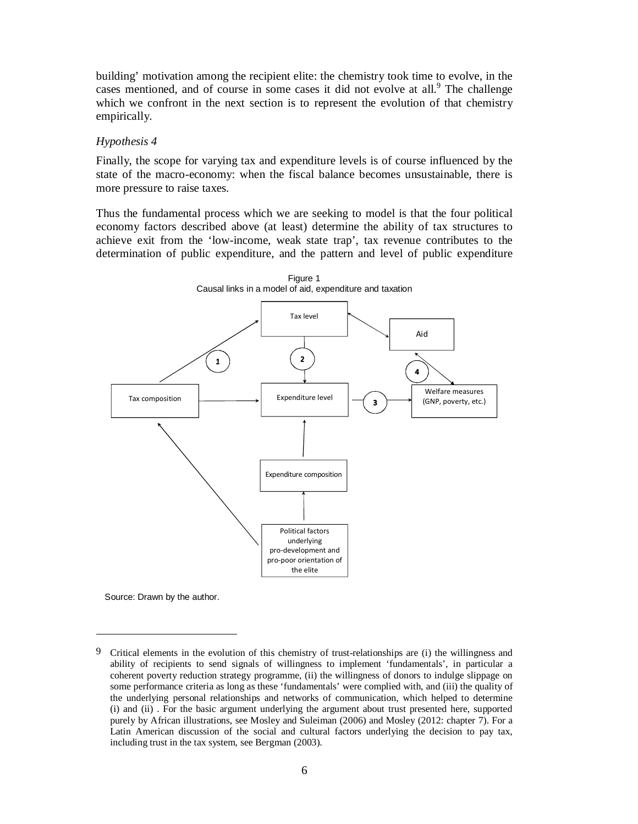building' motivation among the recipient elite: the chemistry took time to evolve, in the cases mentioned, and of course in some cases it did not evolve at all.<sup>9</sup> The challenge which we confront in the next section is to represent the evolution of that chemistry empirically.

## *Hypothesis 4*

Finally, the scope for varying tax and expenditure levels is of course influenced by the state of the macro-economy: when the fiscal balance becomes unsustainable, there is more pressure to raise taxes.

Thus the fundamental process which we are seeking to model is that the four political economy factors described above (at least) determine the ability of tax structures to achieve exit from the 'low-income, weak state trap', tax revenue contributes to the determination of public expenditure, and the pattern and level of public expenditure



Source: Drawn by the author.

-

<sup>9</sup> Critical elements in the evolution of this chemistry of trust-relationships are (i) the willingness and ability of recipients to send signals of willingness to implement 'fundamentals', in particular a coherent poverty reduction strategy programme, (ii) the willingness of donors to indulge slippage on some performance criteria as long as these 'fundamentals' were complied with, and (iii) the quality of the underlying personal relationships and networks of communication, which helped to determine (i) and (ii) . For the basic argument underlying the argument about trust presented here, supported purely by African illustrations, see Mosley and Suleiman (2006) and Mosley (2012: chapter 7). For a Latin American discussion of the social and cultural factors underlying the decision to pay tax, including trust in the tax system, see Bergman (2003).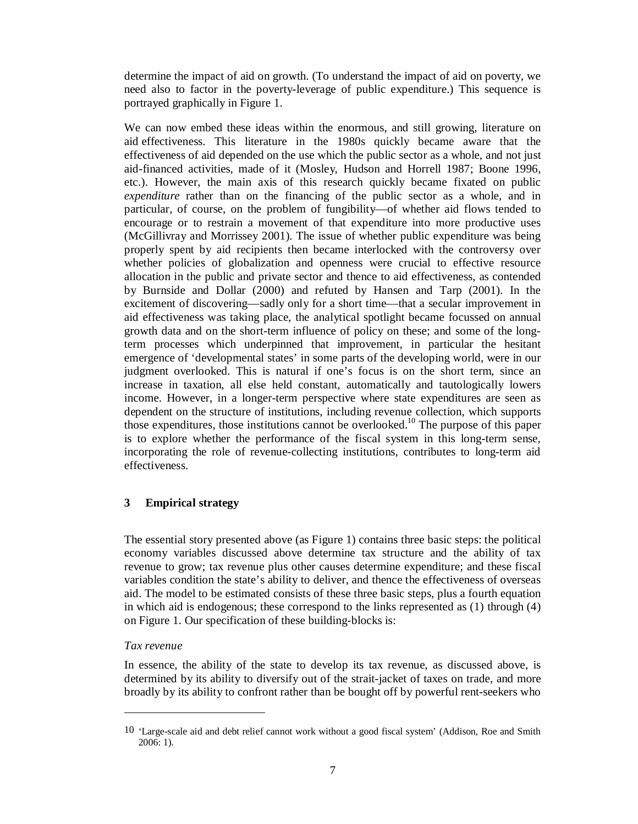determine the impact of aid on growth. (To understand the impact of aid on poverty, we need also to factor in the poverty-leverage of public expenditure.) This sequence is portrayed graphically in Figure 1.

We can now embed these ideas within the enormous, and still growing, literature on aid effectiveness. This literature in the 1980s quickly became aware that the effectiveness of aid depended on the use which the public sector as a whole, and not just aid-financed activities, made of it (Mosley, Hudson and Horrell 1987; Boone 1996, etc.). However, the main axis of this research quickly became fixated on public *expenditure* rather than on the financing of the public sector as a whole, and in particular, of course, on the problem of fungibility––of whether aid flows tended to encourage or to restrain a movement of that expenditure into more productive uses (McGillivray and Morrissey 2001). The issue of whether public expenditure was being properly spent by aid recipients then became interlocked with the controversy over whether policies of globalization and openness were crucial to effective resource allocation in the public and private sector and thence to aid effectiveness, as contended by Burnside and Dollar (2000) and refuted by Hansen and Tarp (2001). In the excitement of discovering––sadly only for a short time––that a secular improvement in aid effectiveness was taking place, the analytical spotlight became focussed on annual growth data and on the short-term influence of policy on these; and some of the longterm processes which underpinned that improvement, in particular the hesitant emergence of 'developmental states' in some parts of the developing world, were in our judgment overlooked. This is natural if one's focus is on the short term, since an increase in taxation, all else held constant, automatically and tautologically lowers income. However, in a longer-term perspective where state expenditures are seen as dependent on the structure of institutions, including revenue collection, which supports those expenditures, those institutions cannot be overlooked.10 The purpose of this paper is to explore whether the performance of the fiscal system in this long-term sense, incorporating the role of revenue-collecting institutions, contributes to long-term aid effectiveness.

# **3 Empirical strategy**

The essential story presented above (as Figure 1) contains three basic steps: the political economy variables discussed above determine tax structure and the ability of tax revenue to grow; tax revenue plus other causes determine expenditure; and these fiscal variables condition the state's ability to deliver, and thence the effectiveness of overseas aid. The model to be estimated consists of these three basic steps, plus a fourth equation in which aid is endogenous; these correspond to the links represented as (1) through (4) on Figure 1. Our specification of these building-blocks is:

# *Tax revenue*

 $\overline{a}$ 

In essence, the ability of the state to develop its tax revenue, as discussed above, is determined by its ability to diversify out of the strait-jacket of taxes on trade, and more broadly by its ability to confront rather than be bought off by powerful rent-seekers who

<sup>10 &#</sup>x27;Large-scale aid and debt relief cannot work without a good fiscal system' (Addison, Roe and Smith 2006: 1).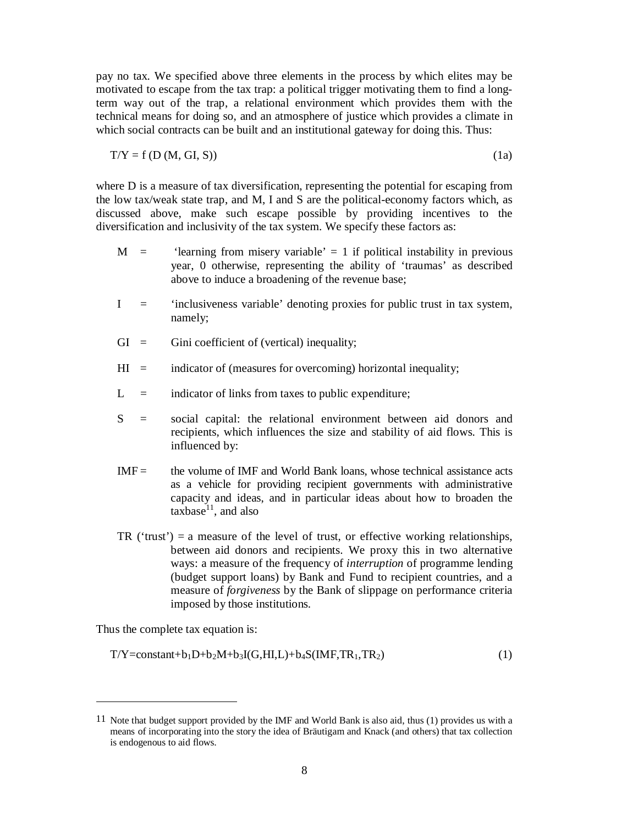pay no tax. We specified above three elements in the process by which elites may be motivated to escape from the tax trap: a political trigger motivating them to find a longterm way out of the trap, a relational environment which provides them with the technical means for doing so, and an atmosphere of justice which provides a climate in which social contracts can be built and an institutional gateway for doing this. Thus:

$$
T/Y = f(D(M, GI, S))
$$
 (1a)

where D is a measure of tax diversification, representing the potential for escaping from the low tax/weak state trap, and M, I and S are the political-economy factors which, as discussed above, make such escape possible by providing incentives to the diversification and inclusivity of the tax system. We specify these factors as:

- $M =$  'learning from misery variable' = 1 if political instability in previous year, 0 otherwise, representing the ability of 'traumas' as described above to induce a broadening of the revenue base;
- I = 'inclusiveness variable' denoting proxies for public trust in tax system, namely;
- $GI =$  Gini coefficient of (vertical) inequality;
- $HI =$  indicator of (measures for overcoming) horizontal inequality;
- $L =$  indicator of links from taxes to public expenditure;
- S = social capital: the relational environment between aid donors and recipients, which influences the size and stability of aid flows. This is influenced by:
- $IMF =$  the volume of IMF and World Bank loans, whose technical assistance acts as a vehicle for providing recipient governments with administrative capacity and ideas, and in particular ideas about how to broaden the  $taxbase<sup>11</sup>$ , and also
- TR ('trust') = a measure of the level of trust, or effective working relationships, between aid donors and recipients. We proxy this in two alternative ways: a measure of the frequency of *interruption* of programme lending (budget support loans) by Bank and Fund to recipient countries, and a measure of *forgiveness* by the Bank of slippage on performance criteria imposed by those institutions.

Thus the complete tax equation is:

-

 $T/Y = constant + b_1D + b_2M + b_3I(G,HI,L) + b_4S(IMF,TR_1,TR_2)$  (1)

<sup>11</sup> Note that budget support provided by the IMF and World Bank is also aid, thus (1) provides us with a means of incorporating into the story the idea of Bräutigam and Knack (and others) that tax collection is endogenous to aid flows.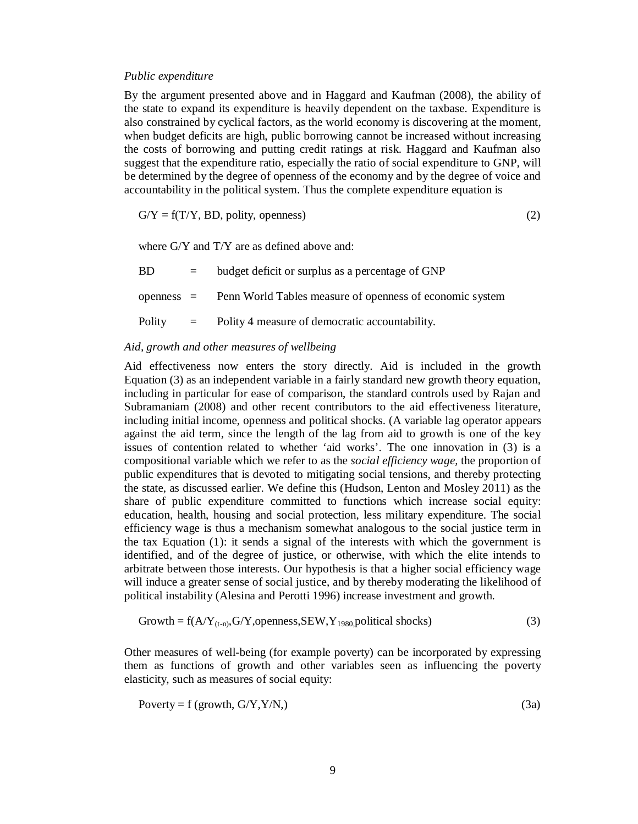#### *Public expenditure*

By the argument presented above and in Haggard and Kaufman (2008), the ability of the state to expand its expenditure is heavily dependent on the taxbase. Expenditure is also constrained by cyclical factors, as the world economy is discovering at the moment, when budget deficits are high, public borrowing cannot be increased without increasing the costs of borrowing and putting credit ratings at risk. Haggard and Kaufman also suggest that the expenditure ratio, especially the ratio of social expenditure to GNP, will be determined by the degree of openness of the economy and by the degree of voice and accountability in the political system. Thus the complete expenditure equation is

$$
G/Y = f(T/Y, BD, polity, openness)
$$
 (2)

where G/Y and T/Y are as defined above and:

 $BD = budget deficit or surplus as a percentage of GNP$ openness = Penn World Tables measure of openness of economic system Polity  $=$  Polity 4 measure of democratic accountability.

### *Aid, growth and other measures of wellbeing*

Aid effectiveness now enters the story directly. Aid is included in the growth Equation (3) as an independent variable in a fairly standard new growth theory equation, including in particular for ease of comparison, the standard controls used by Rajan and Subramaniam (2008) and other recent contributors to the aid effectiveness literature, including initial income, openness and political shocks. (A variable lag operator appears against the aid term, since the length of the lag from aid to growth is one of the key issues of contention related to whether 'aid works'. The one innovation in (3) is a compositional variable which we refer to as the *social efficiency wage,* the proportion of public expenditures that is devoted to mitigating social tensions, and thereby protecting the state, as discussed earlier. We define this (Hudson, Lenton and Mosley 2011) as the share of public expenditure committed to functions which increase social equity: education, health, housing and social protection, less military expenditure. The social efficiency wage is thus a mechanism somewhat analogous to the social justice term in the tax Equation (1): it sends a signal of the interests with which the government is identified, and of the degree of justice, or otherwise, with which the elite intends to arbitrate between those interests. Our hypothesis is that a higher social efficiency wage will induce a greater sense of social justice, and by thereby moderating the likelihood of political instability (Alesina and Perotti 1996) increase investment and growth.

$$
Growth = f(A/Y_{(t-n)}, G/Y, openness, SEW, Y_{1980}, political shocks)
$$
 (3)

Other measures of well-being (for example poverty) can be incorporated by expressing them as functions of growth and other variables seen as influencing the poverty elasticity, such as measures of social equity:

$$
Poverty = f (growth, G/Y, Y/N, )
$$
\n(3a)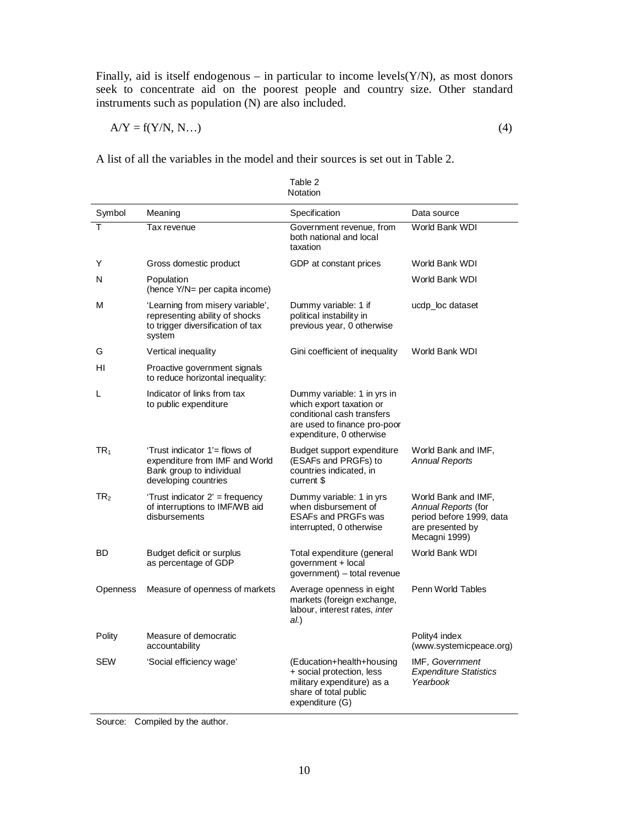Finally, aid is itself endogenous – in particular to income levels( $Y/N$ ), as most donors seek to concentrate aid on the poorest people and country size. Other standard instruments such as population (N) are also included.

$$
A/Y = f(Y/N, N...)
$$
 (4)

A list of all the variables in the model and their sources is set out in Table 2.

|                 |                                                                                                                     | Notation                                                                                                                                          |                                                                                                             |
|-----------------|---------------------------------------------------------------------------------------------------------------------|---------------------------------------------------------------------------------------------------------------------------------------------------|-------------------------------------------------------------------------------------------------------------|
| Symbol          | Meaning                                                                                                             | Specification                                                                                                                                     | Data source                                                                                                 |
| T               | Tax revenue                                                                                                         | Government revenue, from<br>both national and local<br>taxation                                                                                   | World Bank WDI                                                                                              |
| Y               | Gross domestic product                                                                                              | GDP at constant prices                                                                                                                            | World Bank WDI                                                                                              |
| N               | Population<br>(hence Y/N= per capita income)                                                                        |                                                                                                                                                   | World Bank WDI                                                                                              |
| М               | 'Learning from misery variable',<br>representing ability of shocks<br>to trigger diversification of tax<br>system   | Dummy variable: 1 if<br>political instability in<br>previous year, 0 otherwise                                                                    | ucdp_loc dataset                                                                                            |
| G               | Vertical inequality                                                                                                 | Gini coefficient of inequality                                                                                                                    | World Bank WDI                                                                                              |
| HI              | Proactive government signals<br>to reduce horizontal inequality:                                                    |                                                                                                                                                   |                                                                                                             |
| L               | Indicator of links from tax<br>to public expenditure                                                                | Dummy variable: 1 in yrs in<br>which export taxation or<br>conditional cash transfers<br>are used to finance pro-poor<br>expenditure, 0 otherwise |                                                                                                             |
| TR <sub>1</sub> | 'Trust indicator 1'= flows of<br>expenditure from IMF and World<br>Bank group to individual<br>developing countries | Budget support expenditure<br>(ESAFs and PRGFs) to<br>countries indicated, in<br>current \$                                                       | World Bank and IMF,<br><b>Annual Reports</b>                                                                |
| TR <sub>2</sub> | 'Trust indicator 2' = frequency<br>of interruptions to IMF/WB aid<br>disbursements                                  | Dummy variable: 1 in yrs<br>when disbursement of<br><b>ESAFs and PRGFs was</b><br>interrupted, 0 otherwise                                        | World Bank and IMF,<br>Annual Reports (for<br>period before 1999, data<br>are presented by<br>Mecagni 1999) |
| BD              | Budget deficit or surplus<br>as percentage of GDP                                                                   | Total expenditure (general<br>government + local<br>government) – total revenue                                                                   | World Bank WDI                                                                                              |
| <b>Openness</b> | Measure of openness of markets                                                                                      | Average openness in eight<br>markets (foreign exchange,<br>labour, interest rates, inter<br>al.)                                                  | Penn World Tables                                                                                           |
| Polity          | Measure of democratic<br>accountability                                                                             |                                                                                                                                                   | Polity4 index<br>(www.systemicpeace.org)                                                                    |
| SEW             | 'Social efficiency wage'                                                                                            | (Education+health+housing<br>+ social protection, less<br>military expenditure) as a<br>share of total public<br>expenditure (G)                  | IMF, Government<br><b>Expenditure Statistics</b><br>Yearbook                                                |

Table 2

Source: Compiled by the author.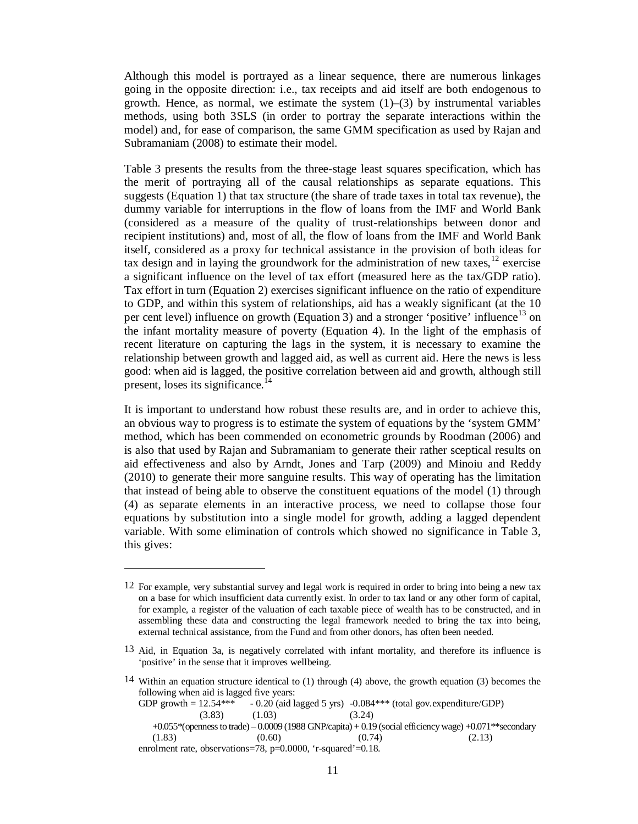Although this model is portrayed as a linear sequence, there are numerous linkages going in the opposite direction: i.e., tax receipts and aid itself are both endogenous to growth. Hence, as normal, we estimate the system  $(1)$ – $(3)$  by instrumental variables methods, using both 3SLS (in order to portray the separate interactions within the model) and, for ease of comparison, the same GMM specification as used by Rajan and Subramaniam (2008) to estimate their model.

Table 3 presents the results from the three-stage least squares specification, which has the merit of portraying all of the causal relationships as separate equations. This suggests (Equation 1) that tax structure (the share of trade taxes in total tax revenue), the dummy variable for interruptions in the flow of loans from the IMF and World Bank (considered as a measure of the quality of trust-relationships between donor and recipient institutions) and, most of all, the flow of loans from the IMF and World Bank itself, considered as a proxy for technical assistance in the provision of both ideas for tax design and in laying the groundwork for the administration of new taxes,  $12$  exercise a significant influence on the level of tax effort (measured here as the tax/GDP ratio). Tax effort in turn (Equation 2) exercises significant influence on the ratio of expenditure to GDP, and within this system of relationships, aid has a weakly significant (at the 10 per cent level) influence on growth (Equation 3) and a stronger 'positive' influence<sup>13</sup> on the infant mortality measure of poverty (Equation 4). In the light of the emphasis of recent literature on capturing the lags in the system, it is necessary to examine the relationship between growth and lagged aid, as well as current aid. Here the news is less good: when aid is lagged, the positive correlation between aid and growth, although still present, loses its significance.<sup> $14$ </sup>

It is important to understand how robust these results are, and in order to achieve this, an obvious way to progress is to estimate the system of equations by the 'system GMM' method, which has been commended on econometric grounds by Roodman (2006) and is also that used by Rajan and Subramaniam to generate their rather sceptical results on aid effectiveness and also by Arndt, Jones and Tarp (2009) and Minoiu and Reddy (2010) to generate their more sanguine results. This way of operating has the limitation that instead of being able to observe the constituent equations of the model (1) through (4) as separate elements in an interactive process, we need to collapse those four equations by substitution into a single model for growth, adding a lagged dependent variable. With some elimination of controls which showed no significance in Table 3, this gives:

 $\overline{\phantom{a}}$ 

GDP growth  $= 12.54***$  - 0.20 (aid lagged 5 yrs) -0.084\*\*\* (total gov.expenditure/GDP)  $(3.83)$   $(1.03)$   $(3.24)$  +0.055\*(openness to trade) – 0.0009 (1988 GNP/capita) + 0.19 (social efficiency wage) +0.071\*\*secondary  $(1.83)$   $(0.60)$   $(0.74)$   $(2.13)$ enrolment rate, observations=78, p=0.0000, 'r-squared'=0.18.

<sup>12</sup> For example, very substantial survey and legal work is required in order to bring into being a new tax on a base for which insufficient data currently exist. In order to tax land or any other form of capital, for example, a register of the valuation of each taxable piece of wealth has to be constructed, and in assembling these data and constructing the legal framework needed to bring the tax into being, external technical assistance, from the Fund and from other donors, has often been needed.

<sup>13</sup> Aid, in Equation 3a, is negatively correlated with infant mortality, and therefore its influence is 'positive' in the sense that it improves wellbeing.

<sup>14</sup> Within an equation structure identical to (1) through (4) above, the growth equation (3) becomes the following when aid is lagged five years: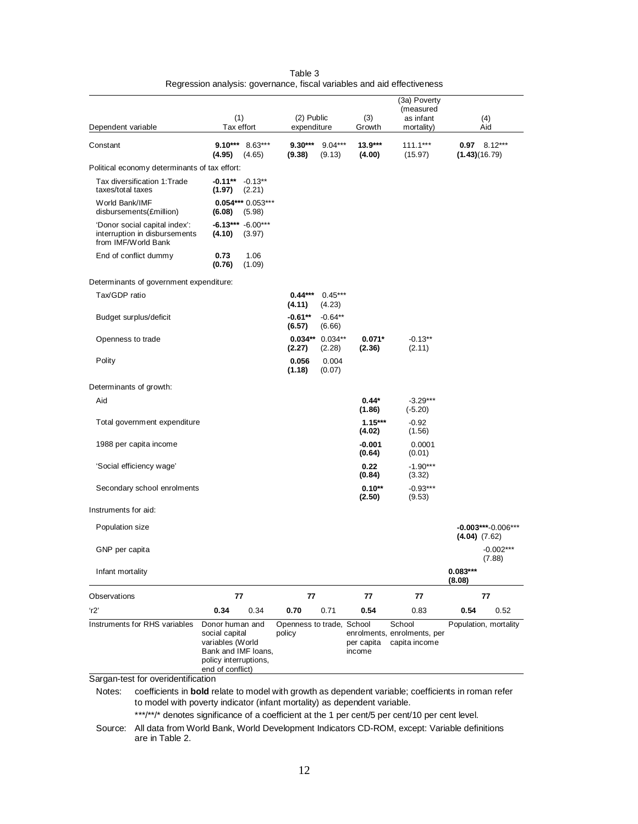|                                                                                       |                                                                                                                           |                                     |                             |                      | (3a) Poverty<br>(measured                              |                      |                       |
|---------------------------------------------------------------------------------------|---------------------------------------------------------------------------------------------------------------------------|-------------------------------------|-----------------------------|----------------------|--------------------------------------------------------|----------------------|-----------------------|
| Dependent variable                                                                    | (1)<br>Tax effort                                                                                                         | (2) Public<br>expenditure           |                             | (3)<br>Growth        | as infant<br>mortality)                                |                      | (4)<br>Aid            |
| Constant                                                                              | $9.10***$ 8.63***<br>(4.95)<br>(4.65)                                                                                     | $9.30***$<br>(9.38)                 | $9.04***$<br>(9.13)         | $13.9***$<br>(4.00)  | $111.1***$<br>(15.97)                                  | (1.43)(16.79)        | $0.97$ 8.12***        |
| Political economy determinants of tax effort:                                         |                                                                                                                           |                                     |                             |                      |                                                        |                      |                       |
| Tax diversification 1: Trade<br>taxes/total taxes                                     | $-0.11***$<br>$-0.13**$<br>(1.97)<br>(2.21)                                                                               |                                     |                             |                      |                                                        |                      |                       |
| World Bank/IMF<br>disbursements(£million)                                             | $0.054***0.053***$<br>(6.08)<br>(5.98)                                                                                    |                                     |                             |                      |                                                        |                      |                       |
| 'Donor social capital index':<br>interruption in disbursements<br>from IMF/World Bank | $-6.13***$ $-6.00***$<br>(4.10)<br>(3.97)                                                                                 |                                     |                             |                      |                                                        |                      |                       |
| End of conflict dummy                                                                 | 0.73<br>1.06<br>(0.76)<br>(1.09)                                                                                          |                                     |                             |                      |                                                        |                      |                       |
| Determinants of government expenditure:                                               |                                                                                                                           |                                     |                             |                      |                                                        |                      |                       |
| Tax/GDP ratio                                                                         |                                                                                                                           | $0.44***$<br>(4.11)                 | $0.45***$<br>(4.23)         |                      |                                                        |                      |                       |
| Budget surplus/deficit                                                                |                                                                                                                           | $-0.61**$<br>(6.57)                 | $-0.64**$<br>(6.66)         |                      |                                                        |                      |                       |
| Openness to trade                                                                     |                                                                                                                           | (2.27)                              | $0.034** 0.034**$<br>(2.28) | $0.071*$<br>(2.36)   | $-0.13**$<br>(2.11)                                    |                      |                       |
| Polity                                                                                |                                                                                                                           | 0.056<br>(1.18)                     | 0.004<br>(0.07)             |                      |                                                        |                      |                       |
| Determinants of growth:                                                               |                                                                                                                           |                                     |                             |                      |                                                        |                      |                       |
| Aid                                                                                   |                                                                                                                           |                                     |                             | $0.44*$<br>(1.86)    | $-3.29***$<br>$(-5.20)$                                |                      |                       |
| Total government expenditure                                                          |                                                                                                                           |                                     |                             | $1.15***$<br>(4.02)  | $-0.92$<br>(1.56)                                      |                      |                       |
| 1988 per capita income                                                                |                                                                                                                           |                                     |                             | $-0.001$<br>(0.64)   | 0.0001<br>(0.01)                                       |                      |                       |
| 'Social efficiency wage'                                                              |                                                                                                                           |                                     |                             | 0.22<br>(0.84)       | $-1.90***$<br>(3.32)                                   |                      |                       |
| Secondary school enrolments                                                           |                                                                                                                           |                                     |                             | $0.10**$<br>(2.50)   | $-0.93***$<br>(9.53)                                   |                      |                       |
| Instruments for aid:                                                                  |                                                                                                                           |                                     |                             |                      |                                                        |                      |                       |
| Population size                                                                       |                                                                                                                           |                                     |                             |                      |                                                        | $(4.04)$ $(7.62)$    | $-0.003***-0.006***$  |
| GNP per capita                                                                        |                                                                                                                           |                                     |                             |                      |                                                        |                      | $-0.002***$<br>(7.88) |
| Infant mortality                                                                      |                                                                                                                           |                                     |                             |                      |                                                        | $0.083***$<br>(8.08) |                       |
| Observations                                                                          | 77                                                                                                                        | 77                                  |                             | 77                   | 77                                                     |                      | 77                    |
| r2                                                                                    | 0.34<br>0.34                                                                                                              | 0.70                                | 0.71                        | 0.54                 | 0.83                                                   | 0.54                 | 0.52                  |
| Instruments for RHS variables                                                         | Donor human and<br>social capital<br>variables (World<br>Bank and IMF loans,<br>policy interruptions,<br>end of conflict) | Openness to trade, School<br>policy |                             | per capita<br>income | School<br>enrolments, enrolments, per<br>capita income |                      | Population, mortality |

| Table 3                                                                 |
|-------------------------------------------------------------------------|
| Regression analysis: governance, fiscal variables and aid effectiveness |

Sargan-test for overidentification

Notes: coefficients in **bold** relate to model with growth as dependent variable; coefficients in roman refer to model with poverty indicator (infant mortality) as dependent variable.

\*\*\*/\*\*/\* denotes significance of a coefficient at the 1 per cent/5 per cent/10 per cent level.

Source: All data from World Bank, World Development Indicators CD-ROM, except: Variable definitions are in Table 2.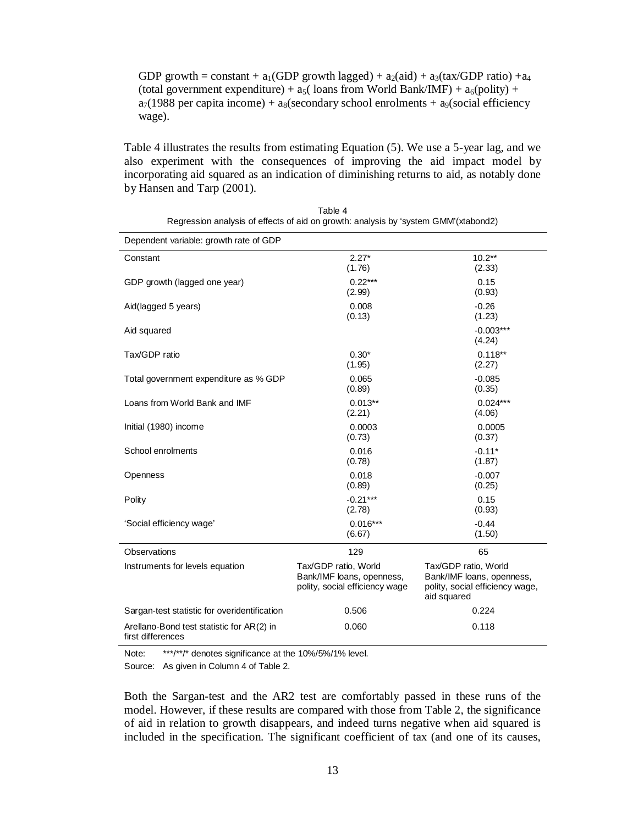GDP growth = constant + a<sub>1</sub>(GDP growth lagged) + a<sub>2</sub>(aid) + a<sub>3</sub>(tax/GDP ratio) + a<sub>4</sub> (total government expenditure) +  $a_5$ ( loans from World Bank/IMF) +  $a_6$ (polity) +  $a_7(1988$  per capita income) +  $a_8$ (secondary school enrolments +  $a_9$ (social efficiency wage).

Table 4 illustrates the results from estimating Equation (5). We use a 5-year lag, and we also experiment with the consequences of improving the aid impact model by incorporating aid squared as an indication of diminishing returns to aid, as notably done by Hansen and Tarp (2001).

| Dependent variable: growth rate of GDP                         |                                                                                     |                                                                                                     |
|----------------------------------------------------------------|-------------------------------------------------------------------------------------|-----------------------------------------------------------------------------------------------------|
| Constant                                                       | $2.27*$<br>(1.76)                                                                   | $10.2**$<br>(2.33)                                                                                  |
| GDP growth (lagged one year)                                   | $0.22***$<br>(2.99)                                                                 | 0.15<br>(0.93)                                                                                      |
| Aid(lagged 5 years)                                            | 0.008<br>(0.13)                                                                     | $-0.26$<br>(1.23)                                                                                   |
| Aid squared                                                    |                                                                                     | $-0.003***$<br>(4.24)                                                                               |
| Tax/GDP ratio                                                  | $0.30*$<br>(1.95)                                                                   | $0.118**$<br>(2.27)                                                                                 |
| Total government expenditure as % GDP                          | 0.065<br>(0.89)                                                                     | $-0.085$<br>(0.35)                                                                                  |
| Loans from World Bank and IMF                                  | $0.013**$<br>(2.21)                                                                 | $0.024***$<br>(4.06)                                                                                |
| Initial (1980) income                                          | 0.0003<br>(0.73)                                                                    | 0.0005<br>(0.37)                                                                                    |
| School enrolments                                              | 0.016<br>(0.78)                                                                     | $-0.11*$<br>(1.87)                                                                                  |
| Openness                                                       | 0.018<br>(0.89)                                                                     | $-0.007$<br>(0.25)                                                                                  |
| Polity                                                         | $-0.21***$<br>(2.78)                                                                | 0.15<br>(0.93)                                                                                      |
| 'Social efficiency wage'                                       | $0.016***$<br>(6.67)                                                                | $-0.44$<br>(1.50)                                                                                   |
| Observations                                                   | 129                                                                                 | 65                                                                                                  |
| Instruments for levels equation                                | Tax/GDP ratio, World<br>Bank/IMF loans, openness,<br>polity, social efficiency wage | Tax/GDP ratio, World<br>Bank/IMF loans, openness,<br>polity, social efficiency wage,<br>aid squared |
| Sargan-test statistic for overidentification                   | 0.506                                                                               | 0.224                                                                                               |
| Arellano-Bond test statistic for AR(2) in<br>first differences | 0.060                                                                               | 0.118                                                                                               |

| Table 4                                                                             |
|-------------------------------------------------------------------------------------|
| Regression analysis of effects of aid on growth: analysis by 'system GMM'(xtabond2) |

Note: \*\*\*/\*\*/\* denotes significance at the 10%/5%/1% level. Source: As given in Column 4 of Table 2.

Both the Sargan-test and the AR2 test are comfortably passed in these runs of the model. However, if these results are compared with those from Table 2, the significance of aid in relation to growth disappears, and indeed turns negative when aid squared is included in the specification. The significant coefficient of tax (and one of its causes,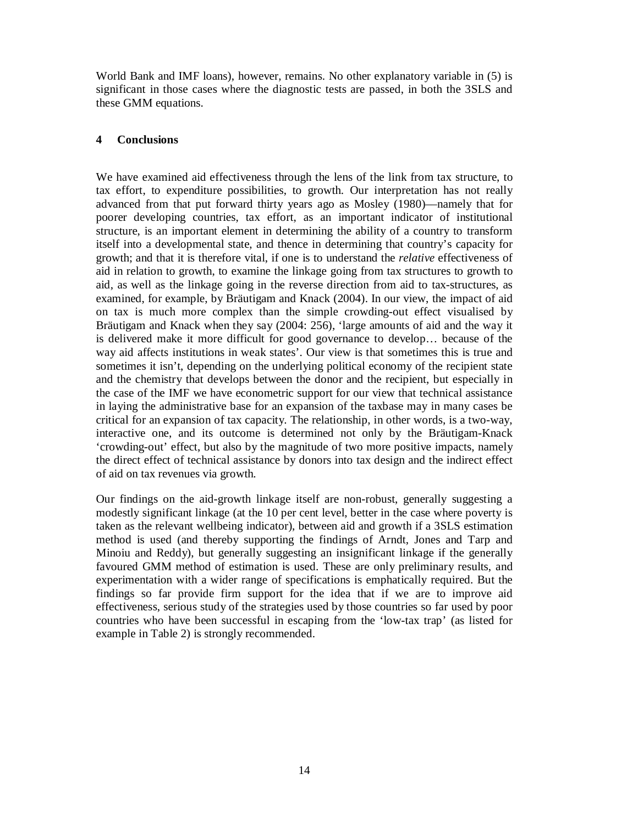World Bank and IMF loans), however, remains. No other explanatory variable in (5) is significant in those cases where the diagnostic tests are passed, in both the 3SLS and these GMM equations.

# **4 Conclusions**

We have examined aid effectiveness through the lens of the link from tax structure, to tax effort, to expenditure possibilities, to growth. Our interpretation has not really advanced from that put forward thirty years ago as Mosley (1980)––namely that for poorer developing countries, tax effort, as an important indicator of institutional structure, is an important element in determining the ability of a country to transform itself into a developmental state, and thence in determining that country's capacity for growth; and that it is therefore vital, if one is to understand the *relative* effectiveness of aid in relation to growth, to examine the linkage going from tax structures to growth to aid, as well as the linkage going in the reverse direction from aid to tax-structures, as examined, for example, by Bräutigam and Knack (2004). In our view, the impact of aid on tax is much more complex than the simple crowding-out effect visualised by Bräutigam and Knack when they say (2004: 256), 'large amounts of aid and the way it is delivered make it more difficult for good governance to develop… because of the way aid affects institutions in weak states'. Our view is that sometimes this is true and sometimes it isn't, depending on the underlying political economy of the recipient state and the chemistry that develops between the donor and the recipient, but especially in the case of the IMF we have econometric support for our view that technical assistance in laying the administrative base for an expansion of the taxbase may in many cases be critical for an expansion of tax capacity. The relationship, in other words, is a two-way, interactive one, and its outcome is determined not only by the Bräutigam-Knack 'crowding-out' effect, but also by the magnitude of two more positive impacts, namely the direct effect of technical assistance by donors into tax design and the indirect effect of aid on tax revenues via growth.

Our findings on the aid-growth linkage itself are non-robust, generally suggesting a modestly significant linkage (at the 10 per cent level, better in the case where poverty is taken as the relevant wellbeing indicator), between aid and growth if a 3SLS estimation method is used (and thereby supporting the findings of Arndt, Jones and Tarp and Minoiu and Reddy), but generally suggesting an insignificant linkage if the generally favoured GMM method of estimation is used. These are only preliminary results, and experimentation with a wider range of specifications is emphatically required. But the findings so far provide firm support for the idea that if we are to improve aid effectiveness, serious study of the strategies used by those countries so far used by poor countries who have been successful in escaping from the 'low-tax trap' (as listed for example in Table 2) is strongly recommended.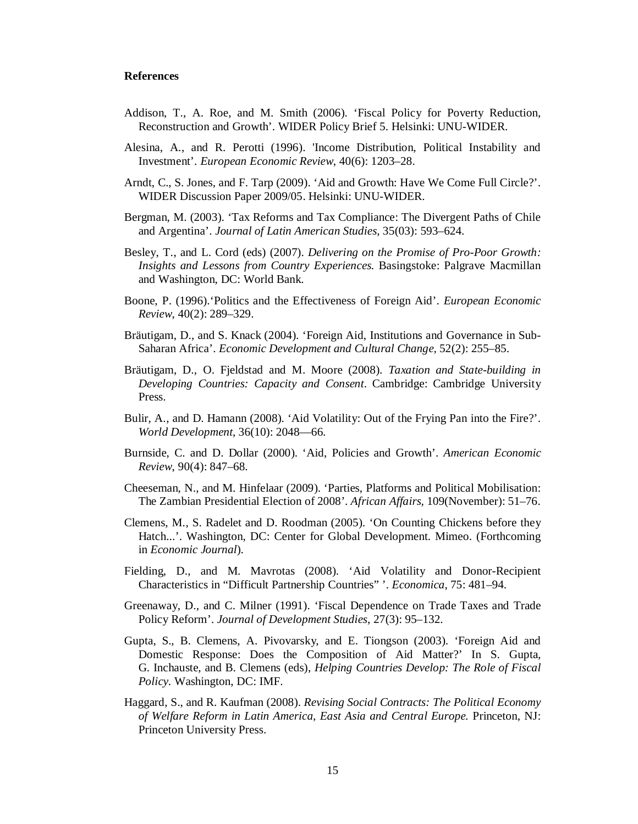#### **References**

- Addison, T., A. Roe, and M. Smith (2006). 'Fiscal Policy for Poverty Reduction, Reconstruction and Growth'. WIDER Policy Brief 5. Helsinki: UNU-WIDER.
- Alesina, A., and R. Perotti (1996). 'Income Distribution, Political Instability and Investment'. *European Economic Review*, 40(6): 1203–28.
- Arndt, C., S. Jones, and F. Tarp (2009). 'Aid and Growth: Have We Come Full Circle?'. WIDER Discussion Paper 2009/05. Helsinki: UNU-WIDER.
- Bergman, M. (2003). 'Tax Reforms and Tax Compliance: The Divergent Paths of Chile and Argentina'. *Journal of Latin American Studies*, 35(03): 593–624.
- Besley, T., and L. Cord (eds) (2007). *Delivering on the Promise of Pro-Poor Growth: Insights and Lessons from Country Experiences.* Basingstoke: Palgrave Macmillan and Washington, DC: World Bank.
- Boone, P. (1996).'Politics and the Effectiveness of Foreign Aid'. *European Economic Review*, 40(2): 289–329.
- Bräutigam, D., and S. Knack (2004). 'Foreign Aid, Institutions and Governance in Sub-Saharan Africa'. *Economic Development and Cultural Change,* 52(2): 255–85.
- Bräutigam, D., O. Fjeldstad and M. Moore (2008). *Taxation and State-building in Developing Countries: Capacity and Consent*. Cambridge: Cambridge University Press.
- Bulir, A., and D. Hamann (2008). 'Aid Volatility: Out of the Frying Pan into the Fire?'. *World Development*, 36(10): 2048––66.
- Burnside, C. and D. Dollar (2000). 'Aid, Policies and Growth'. *American Economic Review*, 90(4): 847–68.
- Cheeseman, N., and M. Hinfelaar (2009). 'Parties, Platforms and Political Mobilisation: The Zambian Presidential Election of 2008'. *African Affairs,* 109(November): 51–76.
- Clemens, M., S. Radelet and D. Roodman (2005). 'On Counting Chickens before they Hatch...'. Washington, DC: Center for Global Development. Mimeo. (Forthcoming in *Economic Journal*).
- Fielding, D., and M. Mavrotas (2008). 'Aid Volatility and Donor-Recipient Characteristics in "Difficult Partnership Countries" '. *Economica*, 75: 481–94.
- Greenaway, D., and C. Milner (1991). 'Fiscal Dependence on Trade Taxes and Trade Policy Reform'. *Journal of Development Studies*, 27(3): 95–132.
- Gupta, S., B. Clemens, A. Pivovarsky, and E. Tiongson (2003). 'Foreign Aid and Domestic Response: Does the Composition of Aid Matter?' In S. Gupta, G. Inchauste, and B. Clemens (eds), *Helping Countries Develop: The Role of Fiscal Policy.* Washington, DC: IMF.
- Haggard, S., and R. Kaufman (2008). *Revising Social Contracts: The Political Economy of Welfare Reform in Latin America, East Asia and Central Europe.* Princeton, NJ: Princeton University Press.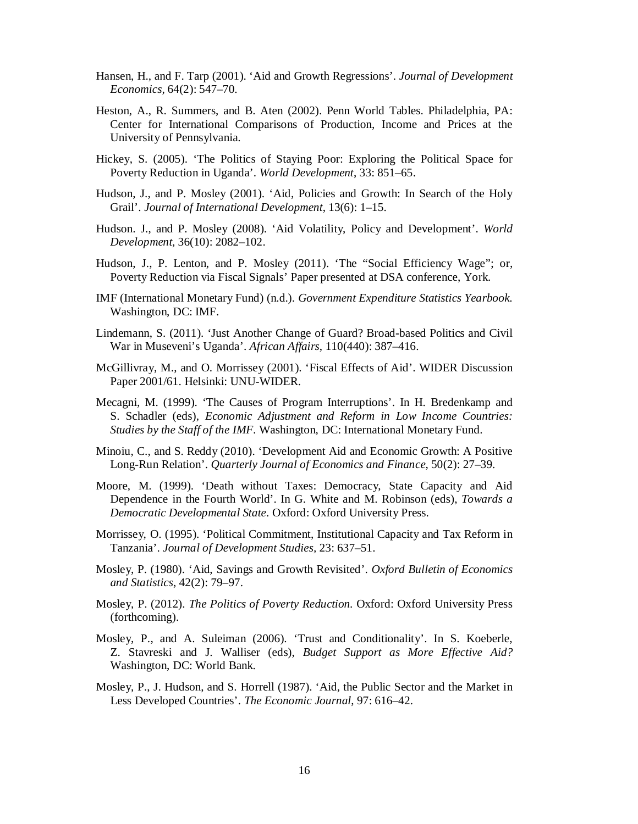- Hansen, H., and F. Tarp (2001). 'Aid and Growth Regressions'. *Journal of Development Economics,* 64(2): 547–70.
- Heston, A., R. Summers, and B. Aten (2002). Penn World Tables. Philadelphia, PA: Center for International Comparisons of Production, Income and Prices at the University of Pennsylvania.
- Hickey, S. (2005). 'The Politics of Staying Poor: Exploring the Political Space for Poverty Reduction in Uganda'. *World Development*, 33: 851–65.
- Hudson, J., and P. Mosley (2001). 'Aid, Policies and Growth: In Search of the Holy Grail'. *Journal of International Development*, 13(6): 1–15.
- Hudson. J., and P. Mosley (2008). 'Aid Volatility, Policy and Development'. *World Development*, 36(10): 2082–102.
- Hudson, J., P. Lenton, and P. Mosley (2011). 'The "Social Efficiency Wage"; or, Poverty Reduction via Fiscal Signals' Paper presented at DSA conference, York.
- IMF (International Monetary Fund) (n.d.). *Government Expenditure Statistics Yearbook.* Washington, DC: IMF.
- Lindemann, S. (2011). 'Just Another Change of Guard? Broad-based Politics and Civil War in Museveni's Uganda'. *African Affairs*, 110(440): 387–416.
- McGillivray, M., and O. Morrissey (2001). 'Fiscal Effects of Aid'. WIDER Discussion Paper 2001/61. Helsinki: UNU-WIDER.
- Mecagni, M. (1999). 'The Causes of Program Interruptions'. In H. Bredenkamp and S. Schadler (eds), *Economic Adjustment and Reform in Low Income Countries: Studies by the Staff of the IMF*. Washington, DC: International Monetary Fund.
- Minoiu, C., and S. Reddy (2010). 'Development Aid and Economic Growth: A Positive Long-Run Relation'. *Quarterly Journal of Economics and Finance*, 50(2): 27–39.
- Moore, M. (1999). 'Death without Taxes: Democracy, State Capacity and Aid Dependence in the Fourth World'. In G. White and M. Robinson (eds), *Towards a Democratic Developmental State*. Oxford: Oxford University Press.
- Morrissey, O. (1995). 'Political Commitment, Institutional Capacity and Tax Reform in Tanzania'. *Journal of Development Studies,* 23: 637–51.
- Mosley, P. (1980). 'Aid, Savings and Growth Revisited'. *Oxford Bulletin of Economics and Statistics*, 42(2): 79–97.
- Mosley, P. (2012). *The Politics of Poverty Reduction.* Oxford: Oxford University Press (forthcoming).
- Mosley, P., and A. Suleiman (2006). 'Trust and Conditionality'. In S. Koeberle, Z. Stavreski and J. Walliser (eds), *Budget Support as More Effective Aid?*  Washington, DC: World Bank.
- Mosley, P., J. Hudson, and S. Horrell (1987). 'Aid, the Public Sector and the Market in Less Developed Countries'. *The Economic Journal*, 97: 616–42.